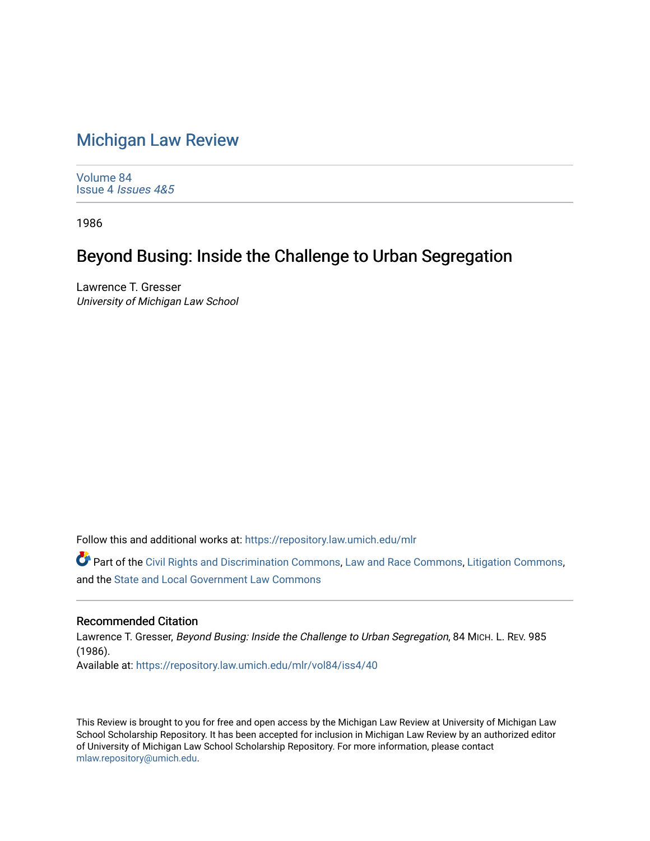## [Michigan Law Review](https://repository.law.umich.edu/mlr)

[Volume 84](https://repository.law.umich.edu/mlr/vol84) Issue 4 [Issues 4&5](https://repository.law.umich.edu/mlr/vol84/iss4) 

1986

## Beyond Busing: Inside the Challenge to Urban Segregation

Lawrence T. Gresser University of Michigan Law School

Follow this and additional works at: [https://repository.law.umich.edu/mlr](https://repository.law.umich.edu/mlr?utm_source=repository.law.umich.edu%2Fmlr%2Fvol84%2Fiss4%2F40&utm_medium=PDF&utm_campaign=PDFCoverPages) 

Part of the [Civil Rights and Discrimination Commons,](http://network.bepress.com/hgg/discipline/585?utm_source=repository.law.umich.edu%2Fmlr%2Fvol84%2Fiss4%2F40&utm_medium=PDF&utm_campaign=PDFCoverPages) [Law and Race Commons,](http://network.bepress.com/hgg/discipline/1300?utm_source=repository.law.umich.edu%2Fmlr%2Fvol84%2Fiss4%2F40&utm_medium=PDF&utm_campaign=PDFCoverPages) [Litigation Commons](http://network.bepress.com/hgg/discipline/910?utm_source=repository.law.umich.edu%2Fmlr%2Fvol84%2Fiss4%2F40&utm_medium=PDF&utm_campaign=PDFCoverPages), and the [State and Local Government Law Commons](http://network.bepress.com/hgg/discipline/879?utm_source=repository.law.umich.edu%2Fmlr%2Fvol84%2Fiss4%2F40&utm_medium=PDF&utm_campaign=PDFCoverPages) 

## Recommended Citation

Lawrence T. Gresser, Beyond Busing: Inside the Challenge to Urban Segregation, 84 MICH. L. REV. 985 (1986). Available at: [https://repository.law.umich.edu/mlr/vol84/iss4/40](https://repository.law.umich.edu/mlr/vol84/iss4/40?utm_source=repository.law.umich.edu%2Fmlr%2Fvol84%2Fiss4%2F40&utm_medium=PDF&utm_campaign=PDFCoverPages) 

This Review is brought to you for free and open access by the Michigan Law Review at University of Michigan Law School Scholarship Repository. It has been accepted for inclusion in Michigan Law Review by an authorized editor of University of Michigan Law School Scholarship Repository. For more information, please contact [mlaw.repository@umich.edu.](mailto:mlaw.repository@umich.edu)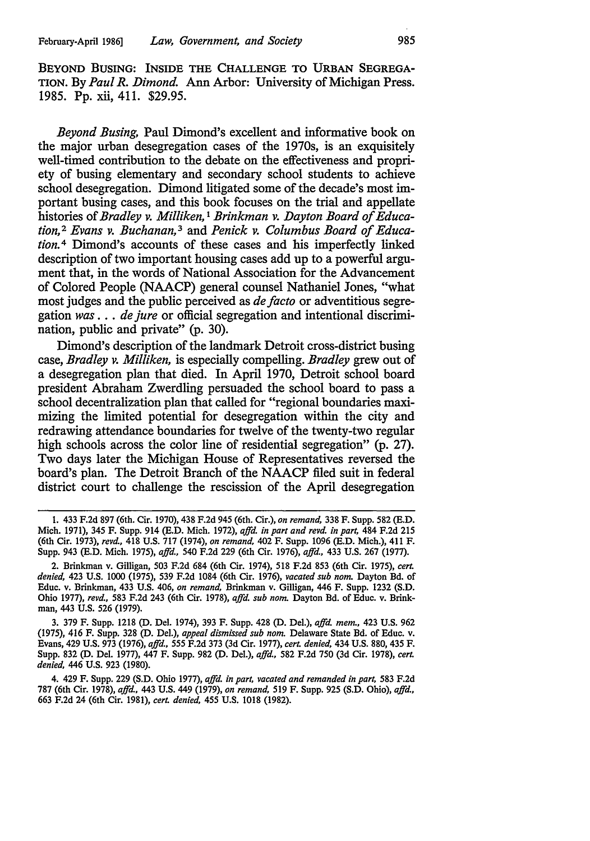BEYOND BUSING: INSIDE THE CHALLENGE TO URBAN SEGREGA-TION. By *Paul R. Dimond.* Ann Arbor: University of Michigan Press. 1985. Pp. xii, 411. \$29.95.

*Beyond Busing,* Paul Dimond's excellent and informative book on the major urban desegregation cases of the 1970s, is an exquisitely well-timed contribution to the debate on the effectiveness and propriety of busing elementary and secondary school students to achieve school desegregation. Dimond litigated some of the decade's most important busing cases, and this book focuses on the trial and appellate histories of *Bradley v. Milliken,* 1 *Brinkman v. Dayton Board of Education,* 2 *Evans v. Buchanan,* 3 and *Penick v. Columbus Board of Education.* 4 Dimond's accounts of these cases and his imperfectly linked description of two important housing cases add up to a powerful argument that, in the words of National Association for the Advancement of Colored People (NAACP) general counsel Nathaniel Jones, "what most judges and the public perceived as *de facto* or adventitious segregation *was* . . . *de jure* or official segregation and intentional discrimination, public and private" (p. 30).

Dimond's description of the landmark Detroit cross-district busing case, *Bradley v. Milliken,* is especially compelling. *Bradley* grew out of a desegregation plan that died. In April 1970, Detroit school board president Abraham Zwerdling persuaded the school board to pass a school decentralization plan that called for "regional boundaries maximizing the limited potential for desegregation within the city and redrawing attendance boundaries for twelve of the twenty-two regular high schools across the color line of residential segregation" (p. 27). Two days later the Michigan House of Representatives reversed the board's plan. The Detroit Branch of the NAACP filed suit in federal district court to challenge the rescission of the April desegregation

<sup>1.</sup> 433 F.2d 897 (6th. Cir. 1970), 438 F.2d 945 (6th. Cir.), *on remand,* 338 F. Supp. 582 (E.D. Mich. 1971), 345 F. Supp. 914 (E.D. Mich. 1972), *ajfd. in part and revd. in part,* 484 F.2d 215 (6th Cir. 1973), *revd.,* 418 U.S. 717 (1974), *on remand,* 402 F. Supp. 1096 (E.D. Mich.), 411 F. Supp. 943 (E.D. Mich. 1975), *ajfd.,* 540 F.2d 229 (6th Cir. 1976), *ajfd.,* 433 U.S. 267 (1977).

<sup>2.</sup> Brinkman v. Gilligan, 503 F.2d 684 (6th Cir. 1974), 518 F.2d 853 (6th Cir. 1975), *cerL denied,* 423 U.S. 1000 (1975), 539 F.2d 1084 (6th Cir. 1976), *vacated sub nom.* Dayton Bd. of Educ. v. Brinkman, 433 U.S. 406, *on remand,* Brinkman v. Gilligan, 446 F. Supp. 1232 (S.D. Ohio 1977), *revd.,* 583 F.2d 243 (6th Cir. 1978), *ajfd. sub nom.* Dayton Bd. of Educ. v. Brinkman, 443 U.S. 526 (1979).

<sup>3. 379</sup> F. Supp. 1218 (D. Del. 1974), 393 F. Supp. 428 (D. Del.), *ajfd. mem.,* 423 U.S. 962 (1975), 416 F. Supp. 328 (D. Del.), *appeal dismissed sub nom.* Delaware State Bd. of Educ. v. Evans, 429 U.S. 973 (1976), *ajfd., 555* F.2d 373 (3d Cir. 1977), *cerL denied,* 434 U.S. 880, 435 F. Supp. 832 (D. Del. 1977), 447 F. Supp. 982 (D. Del.), *ajfd.,* 582 F.2d 750 (3d Cir. 1978), *cert. denied,* 446 U.S. 923 (1980).

<sup>4. 429</sup> F. Supp. 229 (S.D. Ohio 1977), *ajfd. in part, vacated and remanded in part,* 583 F.2d 787 (6th Cir. 1978), *ajfd.,* 443 U.S. 449 (1979), *on remand,* 519 F. Supp. 925 (S.D. Ohio), *ajfd.,*  663 F.2d 24 (6th Cir. 1981), *cert. denied,* 455 U.S. 1018 (1982).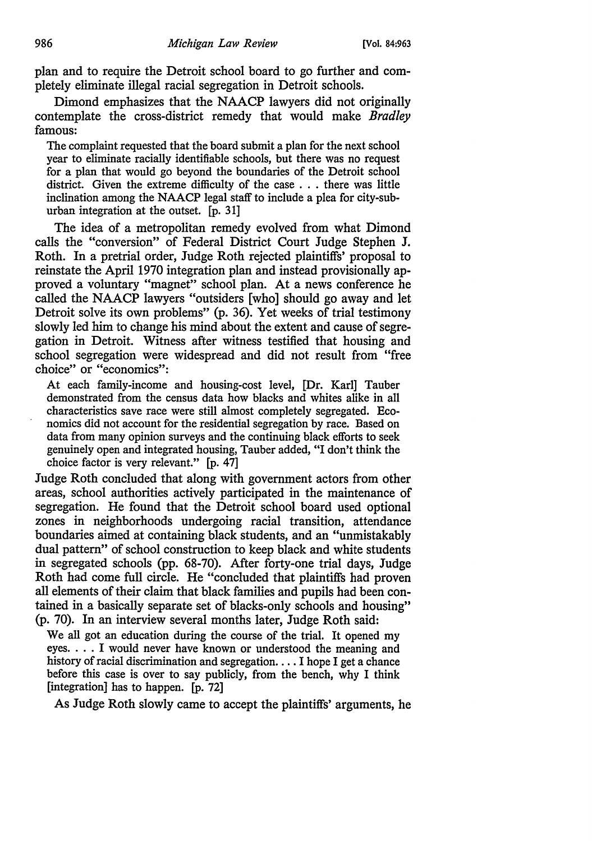plan and to require the Detroit school board to go further and completely eliminate illegal racial segregation in Detroit schools.

Dimond emphasizes that the NAACP lawyers did not originally contemplate the cross-district remedy that would make *Bradley*  famous:

The complaint requested that the board submit a plan for the next school year to eliminate racially identifiable schools, but there was no request for a plan that would go beyond the boundaries of the Detroit school district. Given the extreme difficulty of the case . . . there was little inclination among the NAACP legal staff to include a plea for city-suburban integration at the outset. [p. 31]

The idea of a metropolitan remedy evolved from what Dimond calls the "conversion" of Federal District Court Judge Stephen J, Roth. In a pretrial order, Judge Roth rejected plaintiffs' proposal to reinstate the April 1970 integration plan and instead provisionally approved a voluntary "magnet" school plan. At a news conference he called the NAACP lawyers "outsiders [who] should go away and let Detroit solve its own problems" (p. 36). Yet weeks of trial testimony slowly led him to change his mind about the extent and cause of segregation in Detroit. Witness after witness testified that housing and school segregation were widespread and did not result from "free choice" or "economics":

At each family-income and housing-cost level, [Dr. Karl] Tauber demonstrated from the census data how blacks and whites alike in all characteristics save race were still almost completely segregated. Economics did not account for the residential segregation by race. Based on data from many opinion surveys and the continuing black efforts to seek genuinely open and integrated housing, Tauber added, "I don't think the choice factor is very relevant." [p. 47]

Judge Roth concluded that along with government actors from other areas, school authorities actively participated in the maintenance of segregation. He found that the Detroit school board used optional zones in neighborhoods undergoing racial transition, attendance boundaries aimed at containing black students, and an "unmistakably dual pattern" of school construction to keep black and white students in segregated schools (pp. 68-70). After forty-one trial days, Judge Roth had come full circle. He "concluded that plaintiffs had proven all elements of their claim that black families and pupils had been contained in a basically separate set of blacks-only schools and housing" (p. 70). In an interview several months later, Judge Roth said:

We all got an education during the course of the trial. It opened my eyes. . . . I would never have known or understood the meaning and history of racial discrimination and segregation. . . . I hope I get a chance before this case is over to say publicly, from the bench, why I think [integration] has to happen. [p. 72]

As Judge Roth slowly came to accept the plaintiffs' arguments, he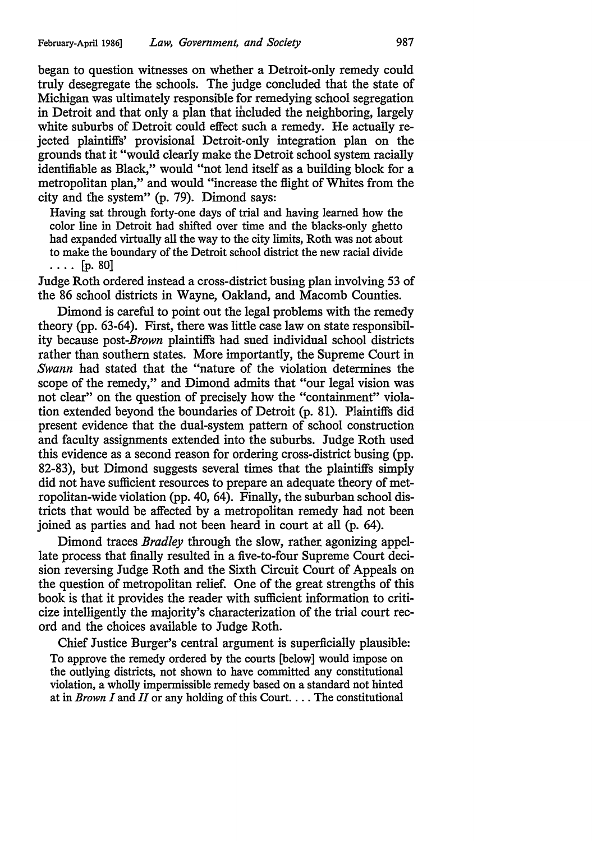began to question witnesses on whether a Detroit-only remedy could truly desegregate the schools. The judge concluded that the state of Michigan was ultimately responsible for remedying school segregation in Detroit and that only a plan that included the neighboring, largely white suburbs of Detroit could effect such a remedy. He actually rejected plaintiffs' provisional Detroit-only integration plan on the grounds that it "would clearly make the Detroit school system racially identifiable as Black," would "not lend itself as a building block for a metropolitan plan," and would "increase the flight of Whites from the city and tbe system" (p. 79). Dimond says:

Having sat through forty-one days of trial and having learned how the color line in Detroit had shifted over time and the blacks-only ghetto had expanded virtually all the way to the city limits, Roth was not about to make the boundary of the Detroit school district the new racial divide  $\ldots$  [p. 80]

Judge Roth ordered instead a cross-district busing plan involving 53 of the 86 school districts in Wayne, Oakland, and Macomb Counties.

Dimond is careful to point out the legal problems with the remedy theory (pp. 63-64). First, there was little case law on state responsibility because *post-Brown* plaintiffs had sued individual school districts rather than southern states. More importantly, the Supreme Court in *Swann* had stated that the "nature of the violation determines the scope of the remedy," and Dimond admits that "our legal vision was not clear" on the question of precisely how the "containment" violation extended beyond the boundaries of Detroit (p. 81). Plaintiffs did present evidence that the dual-system pattern of school construction and faculty assignments extended into the suburbs. Judge Roth used this evidence as a second reason for ordering cross-district busing (pp. 82-83), but Dimond suggests several times that the plaintiffs simply did not have sufficient resources to prepare an adequate theory of metropolitan-wide violation (pp. 40, 64). Finally, the suburban school districts that would be affected by a metropolitan remedy had not been joined as parties and had not been heard in court at all (p. 64).

Dimond traces *Bradley* through the slow, rather agonizing appellate process that finally resulted in a five-to-four Supreme Court decision reversing Judge Roth and the Sixth Circuit Court of Appeals on the question of metropolitan relief. One of the great strengths of this book is that it provides the reader with sufficient information to criticize intelligently the majority's characterization of the trial court record and the choices available to Judge Roth.

Chief Justice Burger's central argument is superficially plausible: To approve the remedy ordered by the courts [below] would impose on the outlying districts, not shown to have committed any constitutional violation, a wholly impermissible remedy based on a standard not hinted at in *Brown I* and *II* or any holding of this Court .... The constitutional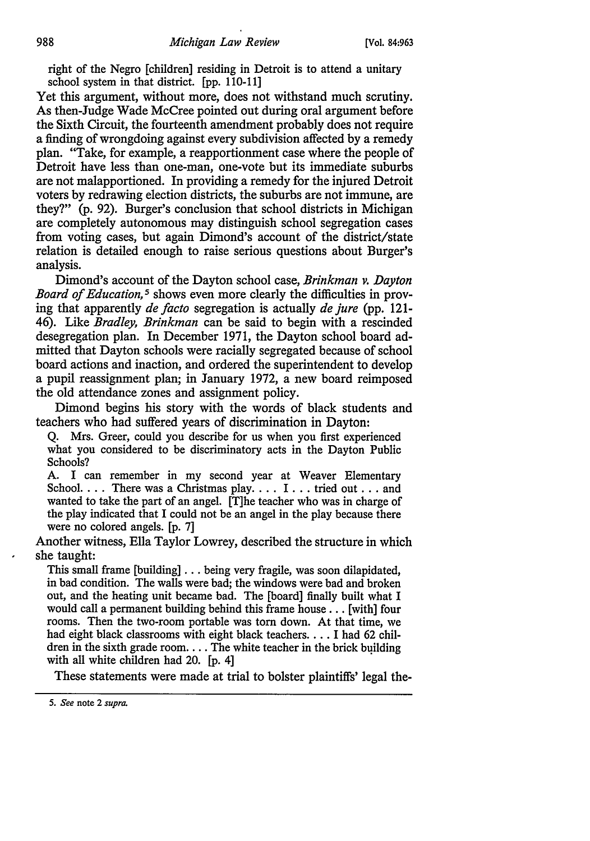right of the Negro [children] residing in Detroit is to attend a unitary school system in that district. [pp. 110-11]

Yet this argument, without more, does not withstand much scrutiny. As then-Judge Wade McCree pointed out during oral argument before the Sixth Circuit, the fourteenth amendment probably does not require a finding of wrongdoing against every subdivision affected by a remedy plan. "Take, for example, a reapportionment case where the people of Detroit have less than one-man, one-vote but its immediate suburbs are not malapportioned. In providing a remedy for the injured Detroit voters by redrawing election districts, the suburbs are not immune, are they?" (p. 92). Burger's conclusion that school districts in Michigan are completely autonomous may distinguish school segregation cases from voting cases, but again Dimond's account of the district/state relation is detailed enough to raise serious questions about Burger's analysis.

Dimond's account of the Dayton school case, *Brinkman v. Dayton Board of Education, 5* shows even more clearly the difficulties in proving that apparently *de facto* segregation is actually *de jure* (pp. 121- 46). Like *Bradley, Brinkman* can be said to begin with a rescinded desegregation plan. In December 1971, the Dayton school board admitted that Dayton schools were racially segregated because of school board actions and inaction, and ordered the superintendent to develop a pupil reassignment plan; in January 1972, a new board reimposed the old attendance zones and assignment policy.

Dimond begins his story with the words of black students and teachers who had suffered years of discrimination in Dayton:

Q. Mrs. Greer, could you describe for us when you first experienced what you considered to be discriminatory acts in the Dayton Public Schools?

A. I can remember in my second year at Weaver Elementary School.  $\ldots$  There was a Christmas play.  $\ldots$  I... tried out ... and wanted to take the part of an angel. [T]he teacher who was in charge of the play indicated that I could not be an angel in the play because there were no colored angels. [p. 7]

Another witness, Ella Taylor Lowrey, described the structure in which she taught:

This small frame [building] ... being very fragile, was soon dilapidated, in bad condition. The walls were bad; the windows were bad and broken out, and the heating unit became bad. The [board] finally built what I would call a permanent building behind this frame house ... [with] four rooms. Then the two-room portable was tom down. At that time, we had eight black classrooms with eight black teachers .... I had 62 children in the sixth grade room.... The white teacher in the brick building with all white children had 20. [p. 4]

These statements were made at trial to bolster plaintiffs' legal the-

<sup>5.</sup> *See* note 2 *supra.*